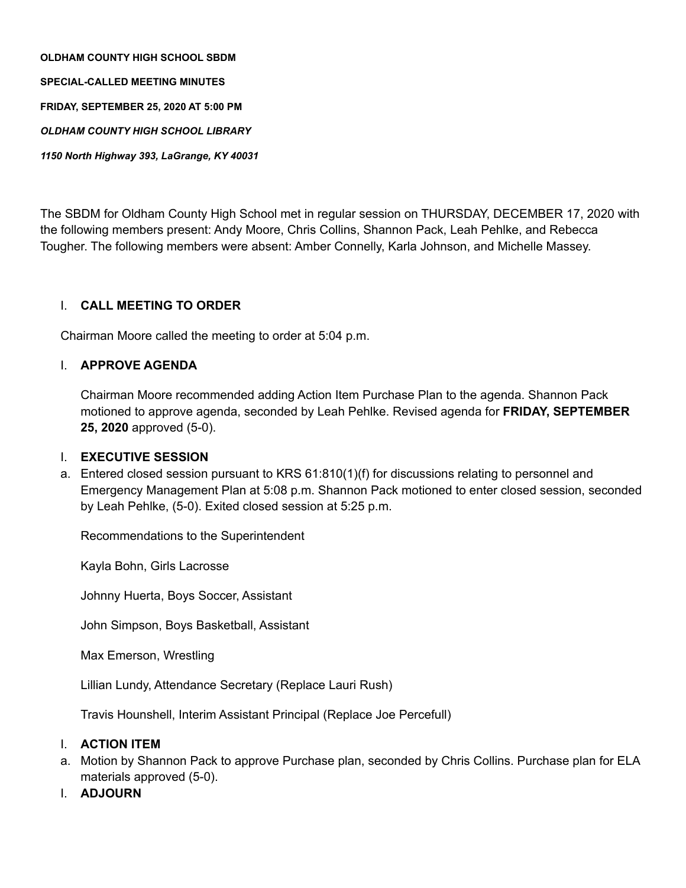**OLDHAM COUNTY HIGH SCHOOL SBDM SPECIAL-CALLED MEETING MINUTES FRIDAY, SEPTEMBER 25, 2020 AT 5:00 PM** *OLDHAM COUNTY HIGH SCHOOL LIBRARY 1150 North Highway 393, LaGrange, KY 40031*

The SBDM for Oldham County High School met in regular session on THURSDAY, DECEMBER 17, 2020 with the following members present: Andy Moore, Chris Collins, Shannon Pack, Leah Pehlke, and Rebecca Tougher. The following members were absent: Amber Connelly, Karla Johnson, and Michelle Massey.

## I. **CALL MEETING TO ORDER**

Chairman Moore called the meeting to order at 5:04 p.m.

## I. **APPROVE AGENDA**

Chairman Moore recommended adding Action Item Purchase Plan to the agenda. Shannon Pack motioned to approve agenda, seconded by Leah Pehlke. Revised agenda for **FRIDAY, SEPTEMBER 25, 2020** approved (5-0).

## I. **EXECUTIVE SESSION**

a. Entered closed session pursuant to KRS 61:810(1)(f) for discussions relating to personnel and Emergency Management Plan at 5:08 p.m. Shannon Pack motioned to enter closed session, seconded by Leah Pehlke, (5-0). Exited closed session at 5:25 p.m.

Recommendations to the Superintendent

Kayla Bohn, Girls Lacrosse

Johnny Huerta, Boys Soccer, Assistant

John Simpson, Boys Basketball, Assistant

Max Emerson, Wrestling

Lillian Lundy, Attendance Secretary (Replace Lauri Rush)

Travis Hounshell, Interim Assistant Principal (Replace Joe Percefull)

## I. **ACTION ITEM**

- a. Motion by Shannon Pack to approve Purchase plan, seconded by Chris Collins. Purchase plan for ELA materials approved (5-0).
- I. **ADJOURN**